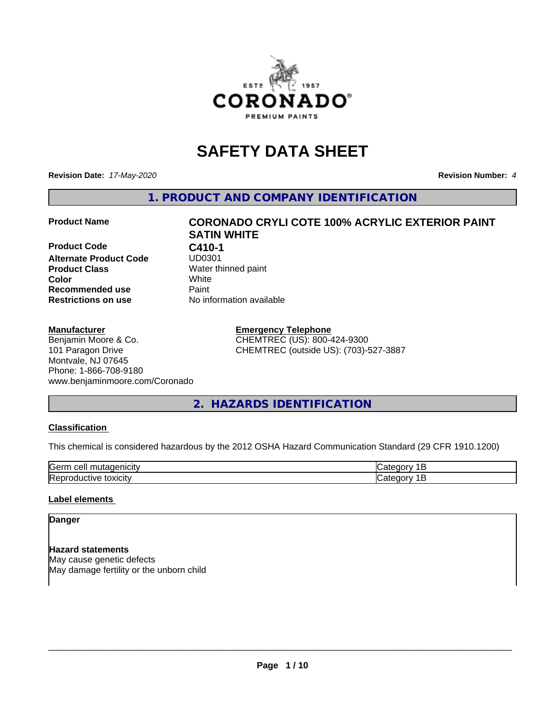

## **SAFETY DATA SHEET**

**Revision Date:** *17-May-2020* **Revision Number:** *4*

**1. PRODUCT AND COMPANY IDENTIFICATION**

**Product Code C410-1 Alternate Product Code Product Class** Water thinned paint<br> **Color** White **Recommended use Caint Restrictions on use** No information available

#### **Manufacturer**

#### Benjamin Moore & Co. 101 Paragon Drive Montvale, NJ 07645 Phone: 1-866-708-9180 www.benjaminmoore.com/Coronado

# **Product Name CORONADO CRYLI COTE 100% ACRYLIC EXTERIOR PAINT SATIN WHITE Color** White

**Emergency Telephone** CHEMTREC (US): 800-424-9300 CHEMTREC (outside US): (703)-527-3887

#### **2. HAZARDS IDENTIFICATION**

#### **Classification**

This chemical is considered hazardous by the 2012 OSHA Hazard Communication Standard (29 CFR 1910.1200)

| $\sim$ $\sim$<br>---<br>kae:<br>$\cdot$ |  |
|-----------------------------------------|--|
| <b>Re</b><br>$-$<br>. X II              |  |

#### **Label elements**

#### **Danger**

**Hazard statements** May cause genetic defects May damage fertility or the unborn child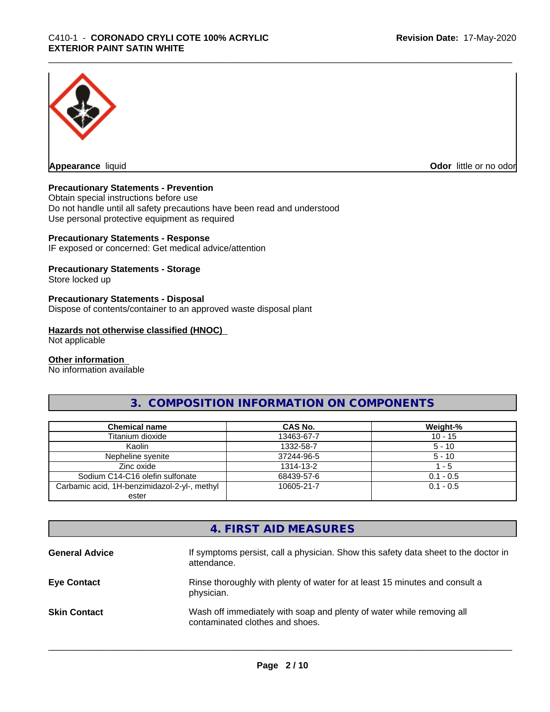

**Appearance** liquid **Odor in the original of the original of the original of the original of the original of the original of the original of the original of the original of the original of the original of the original of t** 

#### **Precautionary Statements - Prevention**

Obtain special instructions before use Do not handle until all safety precautions have been read and understood Use personal protective equipment as required

#### **Precautionary Statements - Response**

IF exposed or concerned: Get medical advice/attention

#### **Precautionary Statements - Storage**

Store locked up

#### **Precautionary Statements - Disposal**

Dispose of contents/container to an approved waste disposal plant

#### **Hazards not otherwise classified (HNOC)**

Not applicable

#### **Other information**

No information available

#### **3. COMPOSITION INFORMATION ON COMPONENTS**

| <b>Chemical name</b>                         | <b>CAS No.</b> | Weight-%    |
|----------------------------------------------|----------------|-------------|
| Titanium dioxide                             | 13463-67-7     | $10 - 15$   |
| Kaolin                                       | 1332-58-7      | $5 - 10$    |
| Nepheline syenite                            | 37244-96-5     | $5 - 10$    |
| Zinc oxide                                   | 1314-13-2      | $-5$        |
| Sodium C14-C16 olefin sulfonate              | 68439-57-6     | $0.1 - 0.5$ |
| Carbamic acid, 1H-benzimidazol-2-yl-, methyl | 10605-21-7     | $0.1 - 0.5$ |
| ester                                        |                |             |

#### **4. FIRST AID MEASURES**

| <b>General Advice</b> | If symptoms persist, call a physician. Show this safety data sheet to the doctor in<br>attendance.       |
|-----------------------|----------------------------------------------------------------------------------------------------------|
| <b>Eye Contact</b>    | Rinse thoroughly with plenty of water for at least 15 minutes and consult a<br>physician.                |
| <b>Skin Contact</b>   | Wash off immediately with soap and plenty of water while removing all<br>contaminated clothes and shoes. |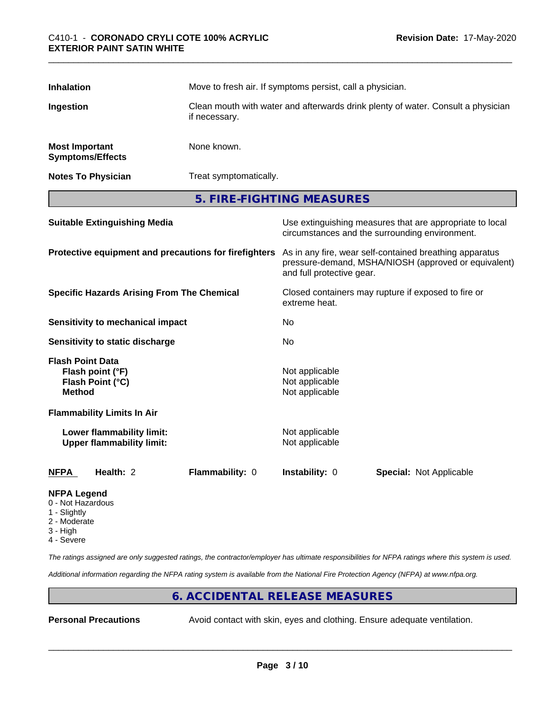| <b>Inhalation</b>                                                       |                                                               | Move to fresh air. If symptoms persist, call a physician.<br>Clean mouth with water and afterwards drink plenty of water. Consult a physician<br>if necessary. |                                                                      |                                                                                                                 |  |
|-------------------------------------------------------------------------|---------------------------------------------------------------|----------------------------------------------------------------------------------------------------------------------------------------------------------------|----------------------------------------------------------------------|-----------------------------------------------------------------------------------------------------------------|--|
| Ingestion                                                               |                                                               |                                                                                                                                                                |                                                                      |                                                                                                                 |  |
| <b>Most Important</b>                                                   | <b>Symptoms/Effects</b>                                       | None known.                                                                                                                                                    |                                                                      |                                                                                                                 |  |
|                                                                         | <b>Notes To Physician</b>                                     | Treat symptomatically.                                                                                                                                         |                                                                      |                                                                                                                 |  |
|                                                                         |                                                               |                                                                                                                                                                | 5. FIRE-FIGHTING MEASURES                                            |                                                                                                                 |  |
|                                                                         | <b>Suitable Extinguishing Media</b>                           |                                                                                                                                                                |                                                                      | Use extinguishing measures that are appropriate to local<br>circumstances and the surrounding environment.      |  |
|                                                                         | Protective equipment and precautions for firefighters         |                                                                                                                                                                | and full protective gear.                                            | As in any fire, wear self-contained breathing apparatus<br>pressure-demand, MSHA/NIOSH (approved or equivalent) |  |
|                                                                         | <b>Specific Hazards Arising From The Chemical</b>             |                                                                                                                                                                | Closed containers may rupture if exposed to fire or<br>extreme heat. |                                                                                                                 |  |
|                                                                         | Sensitivity to mechanical impact                              |                                                                                                                                                                | No                                                                   |                                                                                                                 |  |
|                                                                         | Sensitivity to static discharge                               |                                                                                                                                                                | No                                                                   |                                                                                                                 |  |
| <b>Flash Point Data</b><br><b>Method</b>                                | Flash point (°F)<br>Flash Point (°C)                          |                                                                                                                                                                | Not applicable<br>Not applicable<br>Not applicable                   |                                                                                                                 |  |
|                                                                         | <b>Flammability Limits In Air</b>                             |                                                                                                                                                                |                                                                      |                                                                                                                 |  |
|                                                                         | Lower flammability limit:<br><b>Upper flammability limit:</b> |                                                                                                                                                                | Not applicable<br>Not applicable                                     |                                                                                                                 |  |
| <b>NFPA</b>                                                             | Health: 2                                                     | Flammability: 0                                                                                                                                                | Instability: 0                                                       | <b>Special: Not Applicable</b>                                                                                  |  |
| <b>NFPA Legend</b><br>0 - Not Hazardous<br>$\bigcap$ is a let $\bigcup$ |                                                               |                                                                                                                                                                |                                                                      |                                                                                                                 |  |

- 1 Slightly
- 2 Moderate
- 3 High
- 4 Severe

*The ratings assigned are only suggested ratings, the contractor/employer has ultimate responsibilities for NFPA ratings where this system is used.*

*Additional information regarding the NFPA rating system is available from the National Fire Protection Agency (NFPA) at www.nfpa.org.*

#### **6. ACCIDENTAL RELEASE MEASURES**

**Personal Precautions** Avoid contact with skin, eyes and clothing. Ensure adequate ventilation.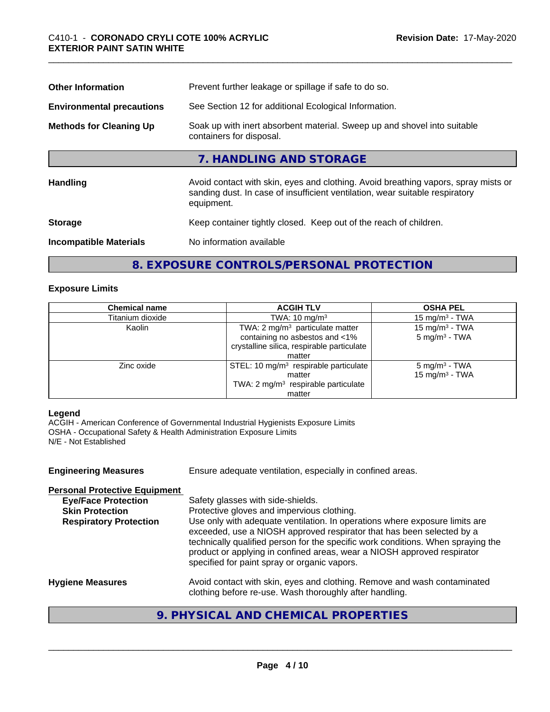| Prevent further leakage or spillage if safe to do so.                                                                                                                            |  |  |
|----------------------------------------------------------------------------------------------------------------------------------------------------------------------------------|--|--|
| See Section 12 for additional Ecological Information.                                                                                                                            |  |  |
| Soak up with inert absorbent material. Sweep up and shovel into suitable<br>containers for disposal.                                                                             |  |  |
| 7. HANDLING AND STORAGE                                                                                                                                                          |  |  |
| Avoid contact with skin, eyes and clothing. Avoid breathing vapors, spray mists or<br>sanding dust. In case of insufficient ventilation, wear suitable respiratory<br>equipment. |  |  |
| Keep container tightly closed. Keep out of the reach of children.                                                                                                                |  |  |
| No information available                                                                                                                                                         |  |  |
|                                                                                                                                                                                  |  |  |

#### **8. EXPOSURE CONTROLS/PERSONAL PROTECTION**

#### **Exposure Limits**

| <b>Chemical name</b> | <b>ACGIH TLV</b>                                | <b>OSHA PEL</b>            |
|----------------------|-------------------------------------------------|----------------------------|
| Titanium dioxide     | TWA: $10 \text{ mg/m}^3$                        | 15 mg/m $3$ - TWA          |
| Kaolin               | TWA: 2 mg/m <sup>3</sup> particulate matter     | 15 mg/m <sup>3</sup> - TWA |
|                      | containing no asbestos and <1%                  | $5 \text{ mg/m}^3$ - TWA   |
|                      | crystalline silica, respirable particulate      |                            |
|                      | matter                                          |                            |
| Zinc oxide           | STEL: 10 $mg/m3$ respirable particulate         | $5 \text{ mg/m}^3$ - TWA   |
|                      | matter                                          | 15 mg/m <sup>3</sup> - TWA |
|                      | TWA: 2 mg/m <sup>3</sup> respirable particulate |                            |
|                      | matter                                          |                            |

#### **Legend**

ACGIH - American Conference of Governmental Industrial Hygienists Exposure Limits OSHA - Occupational Safety & Health Administration Exposure Limits N/E - Not Established

| <b>Engineering Measures</b>                          | Ensure adequate ventilation, especially in confined areas.                                                                                                                                                                                                                                                                                                          |
|------------------------------------------------------|---------------------------------------------------------------------------------------------------------------------------------------------------------------------------------------------------------------------------------------------------------------------------------------------------------------------------------------------------------------------|
| <b>Personal Protective Equipment</b>                 |                                                                                                                                                                                                                                                                                                                                                                     |
| <b>Eye/Face Protection</b><br><b>Skin Protection</b> | Safety glasses with side-shields.<br>Protective gloves and impervious clothing.                                                                                                                                                                                                                                                                                     |
| <b>Respiratory Protection</b>                        | Use only with adequate ventilation. In operations where exposure limits are<br>exceeded, use a NIOSH approved respirator that has been selected by a<br>technically qualified person for the specific work conditions. When spraying the<br>product or applying in confined areas, wear a NIOSH approved respirator<br>specified for paint spray or organic vapors. |
| <b>Hygiene Measures</b>                              | Avoid contact with skin, eyes and clothing. Remove and wash contaminated<br>clothing before re-use. Wash thoroughly after handling.                                                                                                                                                                                                                                 |
|                                                      |                                                                                                                                                                                                                                                                                                                                                                     |

### **9. PHYSICAL AND CHEMICAL PROPERTIES**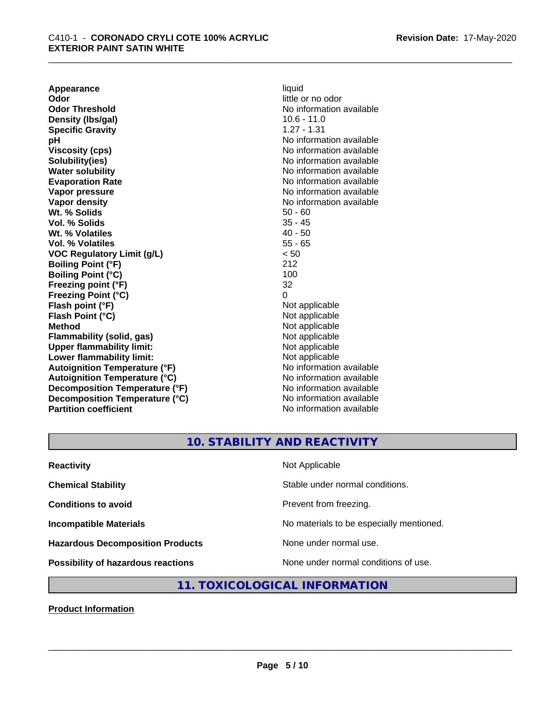**Appearance** liquid<br> **Odor** little c **Odor Threshold** No information available **Density (lbs/gal)** 10.6 - 11.0 **Specific Gravity** 1.27 - 1.31 **pH pH**  $\blacksquare$ **Viscosity (cps)** No information available Notice 1, 1999 **Solubility(ies)** No information available in the solution of the solution of the solution available in the solution of the solution of the solution of the solution of the solution of the solution of the solution of the so **Water solubility** No information available **Evaporation Rate No information available No information available Vapor pressure** No information available in the North American Monte available in the North American available **Vapor density**<br> **We Solids**<br>
We Solid Wi, % Solids<br>
We Note that the Solid Solid Solid Solid Solid Solid Solid Solid Solid Solid Solid Solid Solid Solid Solid Solid Solid Solid Solid Solid Solid Solid Solid Solid Solid So **Wt. % Solids** 50 - 60<br> **Vol. % Solids** 50 - 60<br> **Vol. % Solids** 50 - 45 **Vol. % Solids Wt. % Volatiles** 40 - 50 **Vol. % Volatiles** 55 - 65 **VOC Regulatory Limit (g/L)** < 50 **Boiling Point (°F)** 212 **Boiling Point (°C) Freezing point (°F)** 32 **Freezing Point (°C)** 0 **Flash point (°F)**<br> **Flash Point (°C)**<br> **Flash Point (°C)**<br> **Complicate State Additional Point (°C)**<br> **Not** applicable **Flash Point (°C) Method** Not applicable<br> **Flammability (solid, gas)** Not applicable Not applicable **Flammability** (solid, gas) **Upper flammability limit:**<br> **Lower flammability limit:**<br>
Not applicable<br>
Not applicable **Lower flammability limit:**<br> **Autoignition Temperature (°F)** Not applicable Not applicable available **Autoignition Temperature (°F) Autoignition Temperature (°C)** No information available **Decomposition Temperature (°F)** No information available **Decomposition Temperature (°C)** No information available **Partition coefficient** No information available

little or no odor

## **10. STABILITY AND REACTIVITY**

| <b>Reactivity</b>                         | Not Applicable                           |
|-------------------------------------------|------------------------------------------|
| <b>Chemical Stability</b>                 | Stable under normal conditions.          |
| <b>Conditions to avoid</b>                | Prevent from freezing.                   |
| <b>Incompatible Materials</b>             | No materials to be especially mentioned. |
| <b>Hazardous Decomposition Products</b>   | None under normal use.                   |
| <b>Possibility of hazardous reactions</b> | None under normal conditions of use.     |

#### **11. TOXICOLOGICAL INFORMATION**

**Product Information**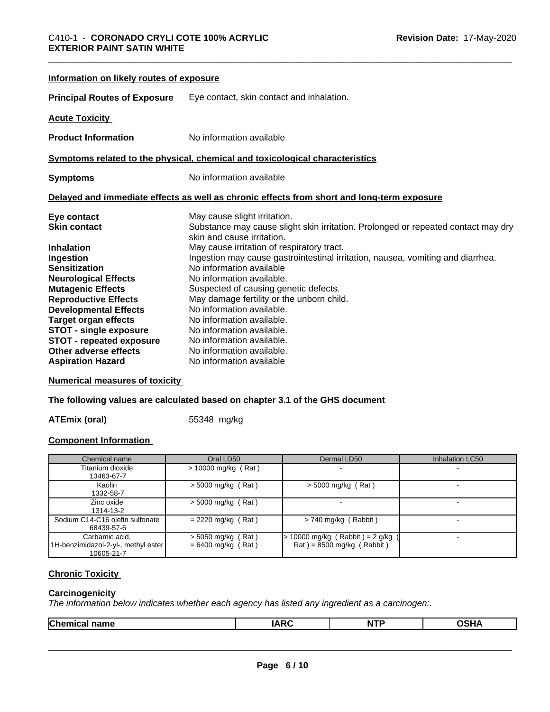**Numerical measures of toxicity**

**The following values are calculated based on chapter 3.1 of the GHS document**

**ATEmix (oral)** 55348 mg/kg

#### **Component Information**

| Chemical name                                                       | Oral LD50                                    | Dermal LD50                                                                     | <b>Inhalation LC50</b> |
|---------------------------------------------------------------------|----------------------------------------------|---------------------------------------------------------------------------------|------------------------|
| Titanium dioxide<br>13463-67-7                                      | $> 10000$ mg/kg (Rat)                        |                                                                                 |                        |
| Kaolin<br>1332-58-7                                                 | $>$ 5000 mg/kg (Rat)                         | $>$ 5000 mg/kg (Rat)                                                            |                        |
| Zinc oxide<br>1314-13-2                                             | $>$ 5000 mg/kg (Rat)                         |                                                                                 |                        |
| Sodium C14-C16 olefin sulfonate<br>68439-57-6                       | $= 2220$ mg/kg (Rat)                         | $> 740$ mg/kg (Rabbit)                                                          |                        |
| Carbamic acid,<br>1H-benzimidazol-2-yl-, methyl ester<br>10605-21-7 | $>$ 5050 mg/kg (Rat)<br>$= 6400$ mg/kg (Rat) | · 10000 mg/kg (Rabbit)= 2 g/kg<br>$\text{Rat}$ = 8500 mg/kg ( $\text{Rabbit}$ ) |                        |

#### **Chronic Toxicity**

#### **Carcinogenicity**

*The information below indicateswhether each agency has listed any ingredient as a carcinogen:.*

|--|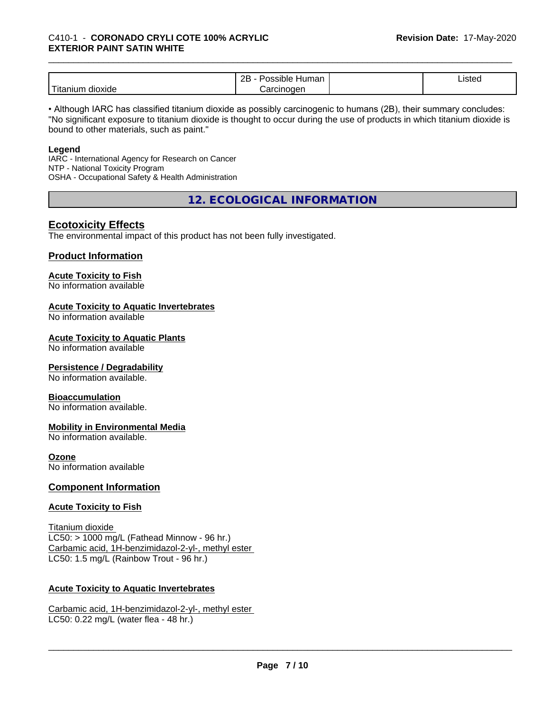|                               | <br>ם מ<br>ssible<br>⊣umar<br>--                   | Listed |
|-------------------------------|----------------------------------------------------|--------|
| .<br><br>dioxide<br>1 Itanium | <b>Prcinc</b><br>ıoaen<br>$\overline{\phantom{a}}$ |        |

• Although IARC has classified titanium dioxide as possibly carcinogenic to humans (2B), their summary concludes: "No significant exposure to titanium dioxide is thought to occur during the use of products in which titanium dioxide is bound to other materials, such as paint."

#### **Legend**

IARC - International Agency for Research on Cancer NTP - National Toxicity Program OSHA - Occupational Safety & Health Administration

**12. ECOLOGICAL INFORMATION**

#### **Ecotoxicity Effects**

The environmental impact of this product has not been fully investigated.

#### **Product Information**

#### **Acute Toxicity to Fish**

No information available

#### **Acute Toxicity to Aquatic Invertebrates**

No information available

#### **Acute Toxicity to Aquatic Plants**

No information available

#### **Persistence / Degradability**

No information available.

#### **Bioaccumulation**

No information available.

#### **Mobility in Environmental Media**

No information available.

#### **Ozone**

No information available

#### **Component Information**

#### **Acute Toxicity to Fish**

Titanium dioxide  $LC50:$  > 1000 mg/L (Fathead Minnow - 96 hr.) Carbamic acid, 1H-benzimidazol-2-yl-, methyl ester LC50: 1.5 mg/L (Rainbow Trout - 96 hr.)

#### **Acute Toxicity to Aquatic Invertebrates**

Carbamic acid, 1H-benzimidazol-2-yl-, methyl ester LC50: 0.22 mg/L (water flea - 48 hr.)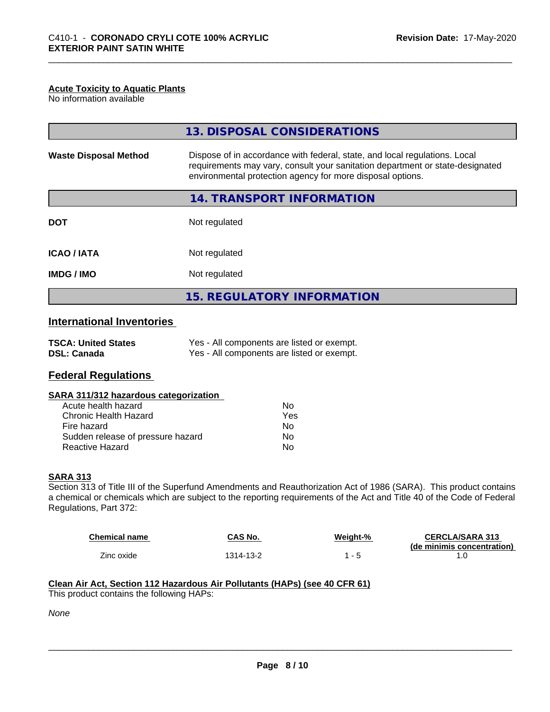#### **Acute Toxicity to Aquatic Plants**

No information available

| <b>Waste Disposal Method</b><br>Dispose of in accordance with federal, state, and local regulations. Local<br>requirements may vary, consult your sanitation department or state-designated<br>environmental protection agency for more disposal options. |
|-----------------------------------------------------------------------------------------------------------------------------------------------------------------------------------------------------------------------------------------------------------|
|                                                                                                                                                                                                                                                           |
| 14. TRANSPORT INFORMATION                                                                                                                                                                                                                                 |
| Not regulated<br><b>DOT</b>                                                                                                                                                                                                                               |
| Not regulated<br><b>ICAO/IATA</b>                                                                                                                                                                                                                         |
| <b>IMDG / IMO</b><br>Not regulated                                                                                                                                                                                                                        |
| <b>15. REGULATORY INFORMATION</b>                                                                                                                                                                                                                         |

#### **International Inventories**

| <b>TSCA: United States</b> | Yes - All components are listed or exempt. |
|----------------------------|--------------------------------------------|
| <b>DSL: Canada</b>         | Yes - All components are listed or exempt. |

#### **Federal Regulations**

#### **SARA 311/312 hazardous categorization**

| Acute health hazard               | Nο  |
|-----------------------------------|-----|
| Chronic Health Hazard             | Yes |
| Fire hazard                       | Nο  |
| Sudden release of pressure hazard | Nο  |
| Reactive Hazard                   | N٥  |

#### **SARA 313**

Section 313 of Title III of the Superfund Amendments and Reauthorization Act of 1986 (SARA). This product contains a chemical or chemicals which are subject to the reporting requirements of the Act and Title 40 of the Code of Federal Regulations, Part 372:

| <b>Chemical name</b> | CAS No.   | Weight-% | <b>CERCLA/SARA 313</b>     |
|----------------------|-----------|----------|----------------------------|
|                      |           |          | (de minimis concentration) |
| Zinc oxide           | 1314-13-2 |          |                            |

 $\overline{\phantom{a}}$  ,  $\overline{\phantom{a}}$  ,  $\overline{\phantom{a}}$  ,  $\overline{\phantom{a}}$  ,  $\overline{\phantom{a}}$  ,  $\overline{\phantom{a}}$  ,  $\overline{\phantom{a}}$  ,  $\overline{\phantom{a}}$  ,  $\overline{\phantom{a}}$  ,  $\overline{\phantom{a}}$  ,  $\overline{\phantom{a}}$  ,  $\overline{\phantom{a}}$  ,  $\overline{\phantom{a}}$  ,  $\overline{\phantom{a}}$  ,  $\overline{\phantom{a}}$  ,  $\overline{\phantom{a}}$ 

#### **Clean Air Act,Section 112 Hazardous Air Pollutants (HAPs) (see 40 CFR 61)** This product contains the following HAPs:

*None*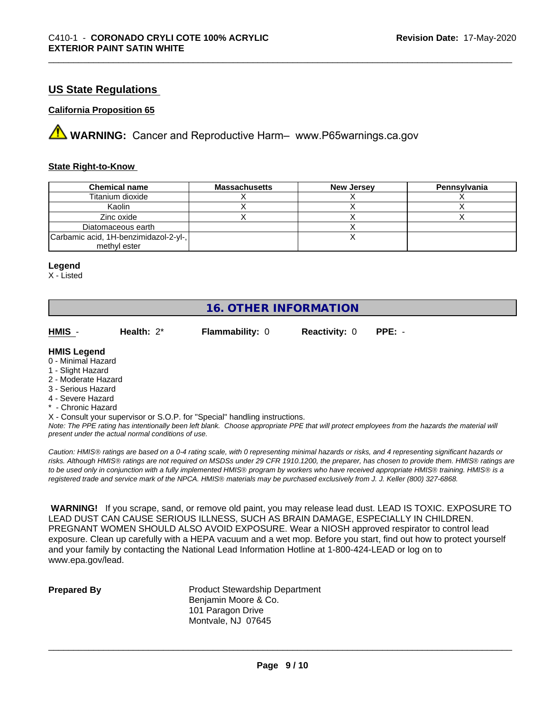#### **US State Regulations**

#### **California Proposition 65**

**A** WARNING: Cancer and Reproductive Harm– www.P65warnings.ca.gov

#### **State Right-to-Know**

| <b>Chemical name</b>                  | <b>Massachusetts</b> | <b>New Jersey</b> | Pennsvlvania |
|---------------------------------------|----------------------|-------------------|--------------|
| Titanium dioxide                      |                      |                   |              |
| Kaolin                                |                      |                   |              |
| Zinc oxide                            |                      |                   |              |
| Diatomaceous earth                    |                      |                   |              |
| Carbamic acid, 1H-benzimidazol-2-yl-, |                      |                   |              |
| methyl ester                          |                      |                   |              |

#### **Legend**

X - Listed

#### **16. OTHER INFORMATION**

| HMIS                                                          | Health: $2^*$ | <b>Flammability: 0</b> | <b>Reactivity: 0</b> | $PPE: -$ |  |
|---------------------------------------------------------------|---------------|------------------------|----------------------|----------|--|
| <b>HMIS Legend</b><br>0 - Minimal Hazard<br>1 - Slight Hazard |               |                        |                      |          |  |
| O Moderate Herera                                             |               |                        |                      |          |  |

- 2 Moderate Hazard
- 3 Serious Hazard
- 4 Severe Hazard
- \* Chronic Hazard
- X Consult your supervisor or S.O.P. for "Special" handling instructions.

*Note: The PPE rating has intentionally been left blank. Choose appropriate PPE that will protect employees from the hazards the material will present under the actual normal conditions of use.*

*Caution: HMISÒ ratings are based on a 0-4 rating scale, with 0 representing minimal hazards or risks, and 4 representing significant hazards or risks. Although HMISÒ ratings are not required on MSDSs under 29 CFR 1910.1200, the preparer, has chosen to provide them. HMISÒ ratings are to be used only in conjunction with a fully implemented HMISÒ program by workers who have received appropriate HMISÒ training. HMISÒ is a registered trade and service mark of the NPCA. HMISÒ materials may be purchased exclusively from J. J. Keller (800) 327-6868.*

 **WARNING!** If you scrape, sand, or remove old paint, you may release lead dust. LEAD IS TOXIC. EXPOSURE TO LEAD DUST CAN CAUSE SERIOUS ILLNESS, SUCH AS BRAIN DAMAGE, ESPECIALLY IN CHILDREN. PREGNANT WOMEN SHOULD ALSO AVOID EXPOSURE.Wear a NIOSH approved respirator to control lead exposure. Clean up carefully with a HEPA vacuum and a wet mop. Before you start, find out how to protect yourself and your family by contacting the National Lead Information Hotline at 1-800-424-LEAD or log on to www.epa.gov/lead.

**Prepared By** Product Stewardship Department Benjamin Moore & Co. 101 Paragon Drive Montvale, NJ 07645